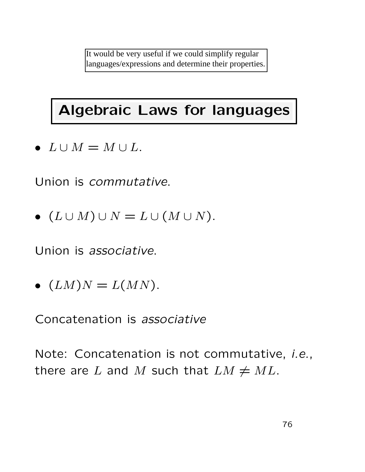It would be very useful if we could simplify regular languages/expressions and determine their properties.

# Algebraic Laws for languages

•  $L \cup M = M \cup L$ .

Union is commutative.

•  $(L \cup M) \cup N = L \cup (M \cup N)$ .

Union is associative.

•  $(LM)N = L(MN)$ .

Concatenation is associative

Note: Concatenation is not commutative, i.e., there are L and M such that  $LM \neq ML$ .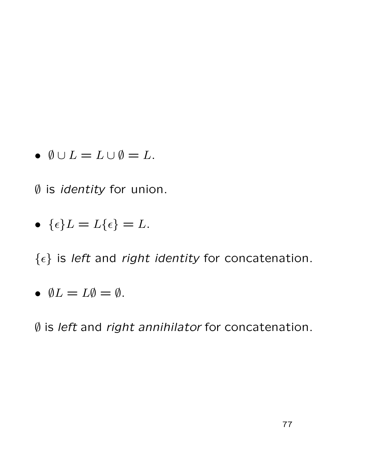•  $\emptyset \cup L = L \cup \emptyset = L$ .

∅ is identity for union.

• 
$$
\{\epsilon\}L = L\{\epsilon\} = L.
$$

 $\{\epsilon\}$  is left and right identity for concatenation.

• 
$$
\emptyset L = L\emptyset = \emptyset
$$
.

∅ is left and right annihilator for concatenation.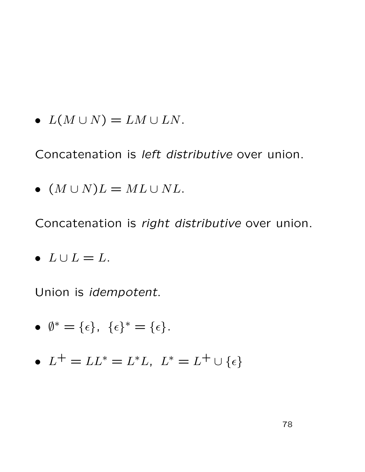•  $L(M \cup N) = LM \cup LN$ .

Concatenation is left distributive over union.

• 
$$
(M \cup N)L = ML \cup NL.
$$

Concatenation is right distributive over union.

$$
\bullet \ \ L \cup L = L.
$$

Union is idempotent.

$$
\bullet \ \emptyset^* = \{\epsilon\}, \ \{\epsilon\}^* = \{\epsilon\}.
$$

•  $L^+ = LL^* = L^*L$ ,  $L^* = L^+ \cup {\epsilon}$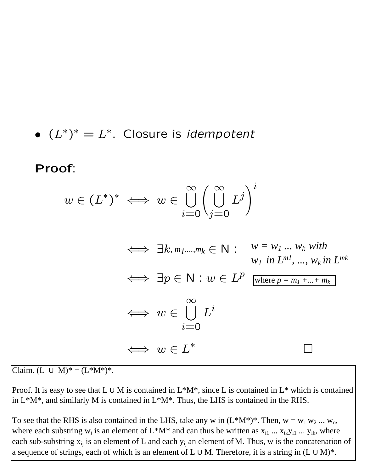• 
$$
(L^*)^* = L^*
$$
. Closure is *idempotent*

Proof:

$$
w \in (L^*)^* \iff w \in \bigcup_{i=0}^{\infty} \left(\bigcup_{j=0}^{\infty} L^j\right)^i
$$

$$
\iff \exists k, m_1, \dots, m_k \in \mathbb{N}: \quad w = w_1 \dots w_k \text{ with}
$$
  
\n
$$
w_1 \text{ in } L^{ml}, \dots, w_k \text{ in } L^{mk}
$$
  
\n
$$
\iff \exists p \in \mathbb{N}: w \in L^p \text{ where } p = m_1 + \dots + m_k
$$
  
\n
$$
\iff w \in \bigcup_{i=0}^{\infty} L^i
$$
  
\n
$$
\iff w \in L^*
$$

Claim. (L U M)<sup>\*</sup> =  $(L^*M^*)^*$ .

Proof. It is easy to see that L  $\cup$  M is contained in L\*M\*, since L is contained in L\* which is contained  $\ln$  L<sup>\*</sup>M<sup>\*</sup>, and similarly M is contained in L<sup>\*</sup>M<sup>\*</sup>. Thus, the LHS is contained in the RHS.

where each substring  $w_i$  is an element of  $L^*M^*$  and can thus be written as  $x_{i1} \dots x_{ik}y_{i1} \dots y_{ih}$ , where To see that the RHS is also contained in the LHS, take any w in  $(L^*M^*)^*$ . Then,  $w = w_1 w_2 ... w_n$ , each sub-substring  $x_{ij}$  is an element of L and each  $y_{ij}$  an element of M. Thus, w is the concatenation of a sequence of strings, each of which is an element of L U M. Therefore, it is a string in  $(L U M)^*$ .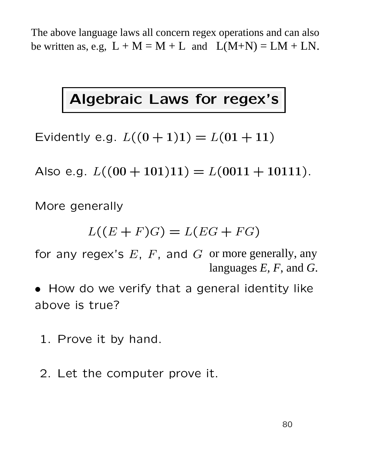The above language laws all concern regex operations and can also be written as, e.g,  $L + M = M + L$  and  $L(M+N) = LM + LN$ .

# Algebraic Laws for regex's

Evidently e.g.  $L((0+1)1) = L(01+11)$ 

Also e.g.  $L((00+101)11) = L(0011+10111)$ .

More generally

$$
L((E+F)G) = L(EG + FG)
$$

for any regex's  $E$ ,  $F$ , and  $G$  or more generally, any languages *E, F*, and *G*.

• How do we verify that a general identity like above is true?

- 1. Prove it by hand.
- 2. Let the computer prove it.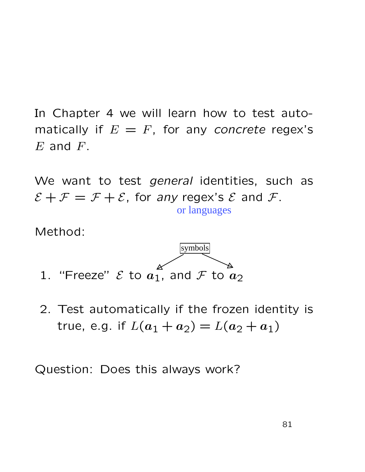In Chapter 4 we will learn how to test automatically if  $E = F$ , for any concrete regex's  $E$  and  $F$ .

We want to test *general* identities, such as  $\mathcal{E} + \mathcal{F} = \mathcal{F} + \mathcal{E}$ , for any regex's  $\mathcal{E}$  and  $\mathcal{F}$ .

Method:



2. Test automatically if the frozen identity is true, e.g. if  $L(a_1 + a_2) = L(a_2 + a_1)$ 

Question: Does this always work?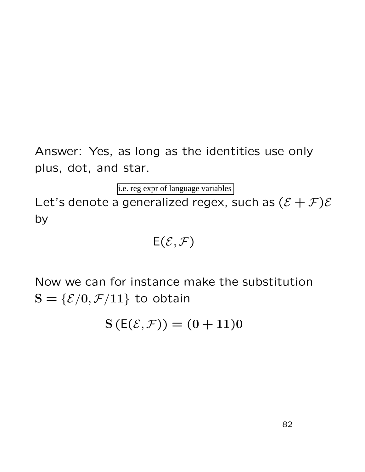Answer: Yes, as long as the identities use only plus, dot, and star.

i.e. reg expr of language variables

Let's denote a generalized regex, such as  $(\mathcal{E} + \mathcal{F})\mathcal{E}$ by

# $E(\mathcal{E}, \mathcal{F})$

Now we can for instance make the substitution  $S = \{ \mathcal{E}/0, \mathcal{F}/11 \}$  to obtain

 $S(E(\mathcal{E}, \mathcal{F})) = (0 + 11)0$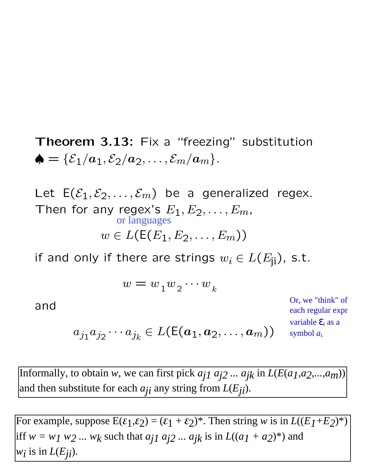**Theorem 3.13:** Fix a "freezing" substitution  $\spadesuit = \{\mathcal{E}_1/a_1, \mathcal{E}_2/a_2, \ldots, \mathcal{E}_m/a_m\}.$ 

Let  $E(\mathcal{E}_1, \mathcal{E}_2, \ldots, \mathcal{E}_m)$  be a generalized regex. Then for any regex's  $E_1, E_2, \ldots, E_m$ ,  $w \in L(E(E_1, E_2, \ldots, E_m))$ or languages

if and only if there are strings  $w_i \in L(E_{ii})$ , s.t.

$$
w = w_1 w_2 \cdots w_k
$$

and

Or, we "think" of each regular expr variable ε*<sup>i</sup>* as a symbol *ai.*

$$
a_{j_1}a_{j_2}\cdots a_{j_k}\in L(\mathsf{E}(a_1,a_2,\ldots,a_m))
$$

Informally, to obtain *w*, we can first pick  $a_{j1}a_{j2}...a_{jk}$  in  $L(E(a_{1},a_{2},...,a_{m}))$ and then substitute for each *aji* any string from *L*(*Eji* ).

For example, suppose  $E(\epsilon_1, \epsilon_2) = (\epsilon_1 + \epsilon_2)^*$ . Then string *w* is in  $L((E_1 + E_2)^*)$ iff  $w = w_1 w_2 ... w_k$  such that  $a_{j1} a_{j2} ... a_{jk}$  is in  $L((a_1 + a_2)^*)$  and *wi* is in *L*(*Eji* only it there are strings  $w_i \,\in L(E_{ji}$ <br>  $w = w_1 w_2 \cdots w_k$ <br>  $a_{j_1} a_{j_2} \cdots a_{j_k} \in L(E(a_1, a_2, \ldots, a_m))$ <br>
to obtain w, we can first pick  $a_{j1} a_{j2} \ldots a_{jk}$  in  $L(k)$ <br>
stitute for each  $a_{ji}$  any string from  $L(E_{ji})$ .<br>
suppose  $E$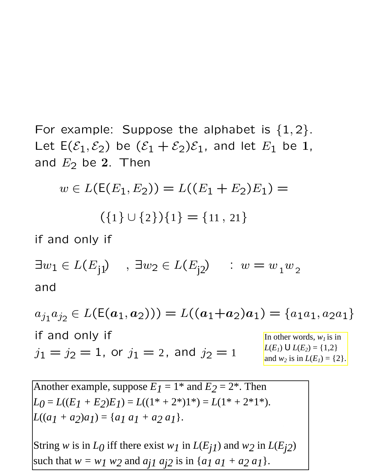For example: Suppose the alphabet is  $\{1,2\}$ . Let  $E(\mathcal{E}_1, \mathcal{E}_2)$  be  $(\mathcal{E}_1 + \mathcal{E}_2)\mathcal{E}_1$ , and let  $E_1$  be 1, and  $E_2$  be 2. Then

$$
w \in L(E(E_1, E_2)) = L((E_1 + E_2)E_1) =
$$
  

$$
(\{1\} \cup \{2\})\{1\} = \{11, 21\}
$$
  
if and only if  

$$
\exists w_1 \in L(E_{j1}) \quad , \exists w_2 \in L(E_{j2}) \quad : \ w = w_1 w_2
$$

and

 $a_{j_1}a_{j_2} \in L(E(a_1, a_2))) = L((a_1+a_2)a_1) = \{a_1a_1, a_2a_1\}$ if and only if  $j_1 = j_2 = 1$ , or  $j_1 = 2$ , and  $j_2 = 1$ In other words,  $w_l$  is in *L*(*E*<sub>*1*</sub>)  $\cup$  *L*(*E*<sub>2</sub>) = {1,2} and *w<sup>2</sup>* is in *L*(*E1*) = {2}. <sup>1</sup> <sup>2</sup> <sup>1</sup> <sup>11</sup> <sup>21</sup>

84 Another example, suppose  $E_1 = 1^*$  and  $E_2 = 2^*$ . Then  $L_0 = L((E_1 + E_2)E_1) = L((1^* + 2^*)1^*) = L(1^* + 2^*1^*)$ .  $L((a_1 + a_2)a_1) = \{a_1 a_1 + a_2 a_1\}.$ String *w* is in  $L_0$  iff there exist  $w_1$  in  $L(E_{j1})$  and  $w_2$  in  $L(E_{j2})$ such that  $w = w_1 w_2$  and  $a_{j1} a_{j2}$  is in  $\{a_1 a_1 + a_2 a_1\}$ .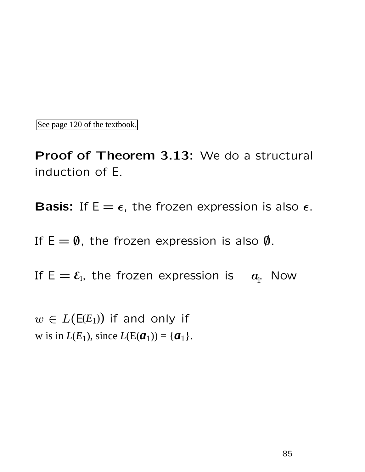See page 120 of the textbook.

Proof of Theorem 3.13: We do a structural induction of E.

**Basis:** If  $E = \epsilon$ , the frozen expression is also  $\epsilon$ .

If  $E = \emptyset$ , the frozen expression is also  $\emptyset$ .

If  $E = \mathcal{E}_1$ , the frozen expression is  $a_1$ . Now

 $w \in L(\mathsf{E}(E_1))$  if and only if w is in  $L(E_1)$ , since  $L(E(a_1)) = \{a_1\}.$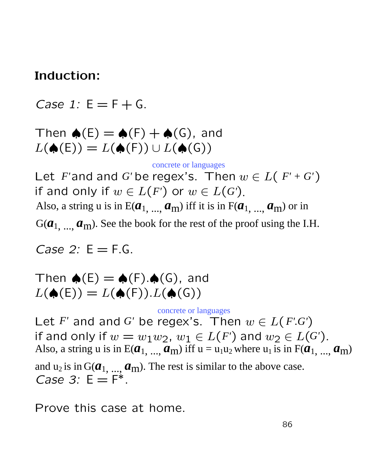### Induction:

Case 1:  $E = F + G$ .

Then  $\spadesuit(E) = \spadesuit(F) + \spadesuit(G)$ , and  $L(\spadesuit(\mathsf{E})) = L(\spadesuit(\mathsf{F})) \cup L(\spadesuit(\mathsf{G}))$ 

Let F'and and G'be regex's. Then  $w \in L(F+G')$ if and only if  $w \in L(F')$  or  $w \in L(G')$ . Also, a string u is in E( $a_1$ , ...,  $a_m$ ) iff it is in F( $a_1$ , ...,  $a_m$ ) or in  $G(\boldsymbol{a}_{1}, ..., \boldsymbol{a}_{m})$ . See the book for the rest of the proof using the I.H. *F'* and and *G'* be regex's. Then  $w \in L(F' + G')$ <br>
d only if  $w \in L(F')$  or  $w \in L(G')$ .<br>
a string u is in  $E(\boldsymbol{a}_{1, ...,} \boldsymbol{a}_{m})$  iff it is in  $F(\boldsymbol{a}_{1, ...,} \boldsymbol{a}_{m})$  or in<br>
...,  $\boldsymbol{a}_{m}$ ). See the book for the rest of the proof us concrete or languages<br>regex's. Then  $u$ <br> $F'$ ) or  $w \in L(G')$ .<br>...,  $a_m$ ) iff it is in F( $a$ <br>k for the rest of the pro<br> $\bigstar(G)$ , and<br> $L(\bigstar(G))$ <br>concrete or languages

Case 2:  $E = F.G$ .

Then  $\spadesuit(E) = \spadesuit(F) \cdot \spadesuit(G)$ , and  $L(\spadesuit(\mathsf{E})) = L(\spadesuit(\mathsf{F})).L(\spadesuit(\mathsf{G}))$ 

Let F' and and G' be regex's. Then  $w \in L(F \cdot G')$ if and only if  $w = w_1w_2$ ,  $w_1 \in L(F')$  and  $w_2 \in L(G')$ . Also, a string u is in E( $a_1$ , ...,  $a_m$ ) iff u = u<sub>1</sub>u<sub>2</sub> where u<sub>1</sub> is in F( $a_1$ , ...,  $a_m$ ) Case 3:  $E = F^*$ . and  $u_2$  is in  $G(\boldsymbol{a}_1, ..., \boldsymbol{a}_m)$ . The rest is similar to the above case.

Prove this case at home.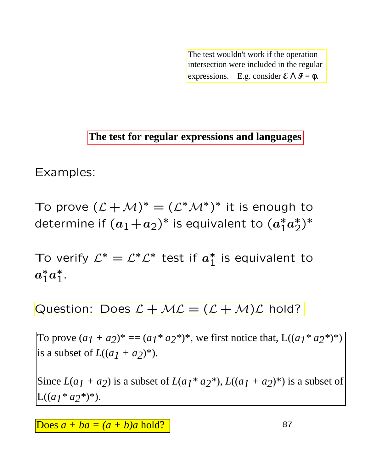The test wouldn't work if the operation intersection were included in the regular expressions. E.g. consider  $\mathcal{E} \wedge \mathcal{F} = \phi$ .

Examples:

To prove  $(\mathcal{L} + \mathcal{M})^* = (\mathcal{L}^* \mathcal{M}^*)^*$  it is enough to determine if  $(a_1+a_2)^*$  is equivalent to  $(a_1^*)$  $_1^*a$ ∗ \*)\*<br>2<sup>)</sup> **Examples:**<br>
To prove  $(L + M)^* = (L^*M^*)^*$  it is enough determine if  $(a_1 + a_2)^*$  is equivalent to  $(a_1^*a_2^*$ <br>
To verify  $L^* = L^*L^*$  test if  $a_1^*$  is equivalent  $a_1^*a_1^*$ .<br>
Question: Does  $L + ML = (L + M)L$  hold?<br>
To prove

To verify  $\mathcal{L}^* = \mathcal{L}^* \mathcal{L}^*$  test if  $a_1^*$  $_1^*$  is equivalent to  $\boldsymbol{a}$ ∗  $_1^*a$ ∗  $i^*$ 

Question: Does  $\mathcal{L} + \mathcal{ML} = (\mathcal{L} + \mathcal{M})\mathcal{L}$  hold?

To prove  $(a_1 + a_2)^* = (a_1^* a_2^*)^*$ , we first notice that,  $L((a_1^* a_2^*)^*)$ is a subset of  $L((a_1 + a_2)^*)$ .

Since  $L(a_1 + a_2)$  is a subset of  $L(a_1 * a_2 *), L((a_1 + a_2) *)$  is a subset of  $L((a_1 * a_2)^*)$ .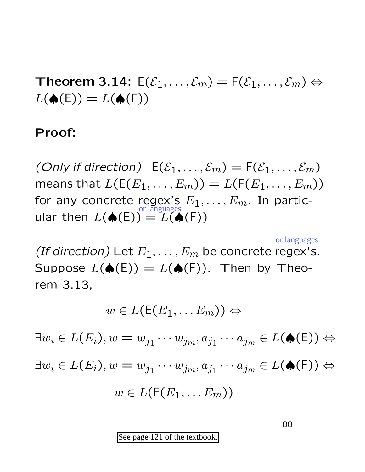Theorem 3.14:  $E(\mathcal{E}_1,\ldots,\mathcal{E}_m) = F(\mathcal{E}_1,\ldots,\mathcal{E}_m) \Leftrightarrow$  $L(\spadesuit(E)) = L(\spadesuit(F))$ 

#### Proof:

(Only if direction)  $E(\mathcal{E}_1,\ldots,\mathcal{E}_m) = F(\mathcal{E}_1,\ldots,\mathcal{E}_m)$ means that  $L(E(E_1, \ldots, E_m)) = L(F(E_1, \ldots, E_m))$ for any concrete regex's  $E_1, \ldots, E_m$ . In particular then  $L(\spadesuit(E)) = L(\spadesuit(F))$ 

(If direction) Let  $E_1, \ldots, E_m$  be concrete regex's. Suppose  $L(\spadesuit(E)) = L(\spadesuit(F))$ . Then by Theorem 3.13,

$$
w\in L(\mathsf{E}(E_1,\ldots E_m))\Leftrightarrow
$$

 $\exists w_i \in L(E_i), w = w_{j_1} \cdots w_{j_m}, a_{j_1} \cdots a_{j_m} \in L(\spadesuit(\mathsf{E})) \Leftrightarrow$  $\exists w_i \in L(E_i), w = w_{j_1} \cdots w_{j_m}, a_{j_1} \cdots a_{j_m} \in L(\spadesuit(\mathsf{F})) \Leftrightarrow$  $w \in L(F(E_1, \ldots E_m))$ (E)) =  $L(\spadesuit(F))$ <br>
et  $E_1, ..., E_m$  be concrete regex's.<br>
(E)) =  $L(\spadesuit(F))$ . Then by Theo-<br>  $\in L(E(E_1, ... E_m)) \Leftrightarrow$ <br>  $= w_{j_1} \cdots w_{j_m}, a_{j_1} \cdots a_{j_m} \in L(\spadesuit(E))$ <br>  $= w_{j_1} \cdots w_{j_m}, a_{j_1} \cdots a_{j_m} \in L(\spadesuit(F))$ <br>  $v \in L(F(E_1, ... E_m))$ <br>
See page 121

88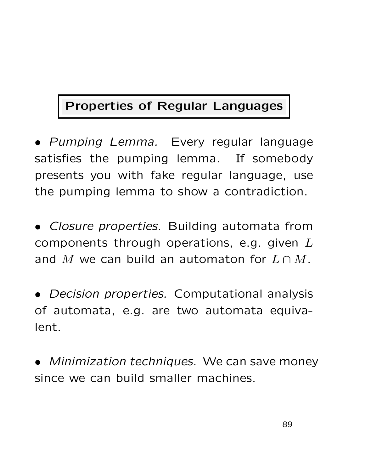# Properties of Regular Languages

• Pumping Lemma. Every regular language satisfies the pumping lemma. If somebody presents you with fake regular language, use the pumping lemma to show a contradiction.

• Closure properties. Building automata from components through operations, e.g. given  $L$ and M we can build an automaton for  $L \cap M$ .

• Decision properties. Computational analysis of automata, e.g. are two automata equivalent.

• Minimization techniques. We can save money since we can build smaller machines.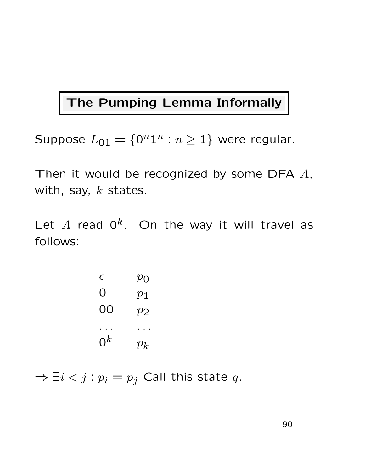### The Pumping Lemma Informally

Suppose  $L_{01} = \{0^n 1^n : n \ge 1\}$  were regular.

Then it would be recognized by some DFA  $A$ , with, say,  $k$  states.

Let A read  $0^k$ . On the way it will travel as follows:

| E     | $p_{\rm O}$      |
|-------|------------------|
| O     | $p_{\mathbf{1}}$ |
| OO    | $p_2$            |
|       |                  |
| $0^k$ | $p_{k}$          |

 $\Rightarrow \exists i < j : p_i = p_j$  Call this state q.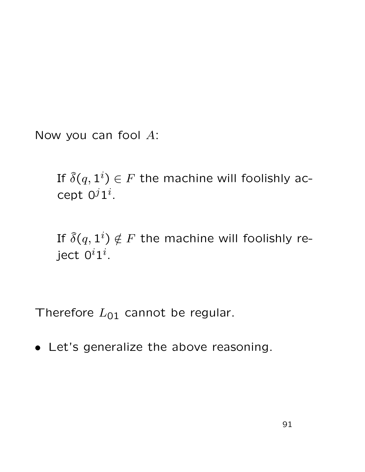Now you can fool A:

If  $\widehat{\delta}(q,1^i) \in F$  the machine will foolishly accept  $0^j1^i$ .

If  $\widehat{\delta}(q,1^i) \notin F$  the machine will foolishly reject  $0^i1^i.$ 

Therefore  $L_{01}$  cannot be regular.

• Let's generalize the above reasoning.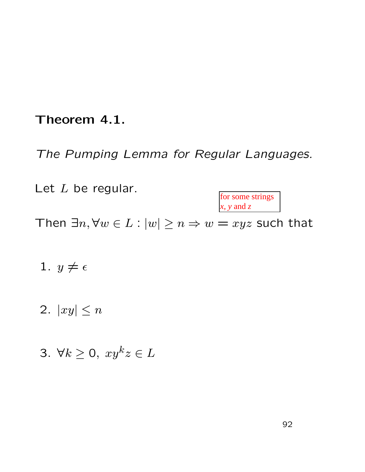### Theorem 4.1.

The Pumping Lemma for Regular Languages.

Let  $L$  be regular. for some strings *x, y* and *z*

Then  $\exists n, \forall w \in L : |w| \ge n \Rightarrow w = xyz$  such that

- 1.  $y \neq \epsilon$
- 2.  $|xy| \leq n$
- 3.  $\forall k \geq 0, xy^k z \in L$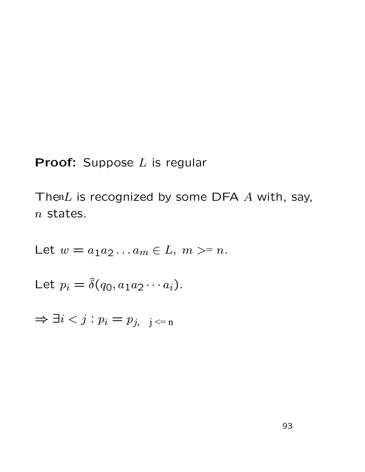### **Proof:** Suppose  $L$  is regular

Then $L$  is recognized by some DFA  $A$  with, say, n states.

Let 
$$
w = a_1 a_2 \dots a_m \in L, m > = n
$$
.  
\nLet  $p_i = \hat{\delta}(q_0, a_1 a_2 \cdots a_i)$ .  
\n $\Rightarrow \exists i < j : p_i = p_{j, j} <_{= n}$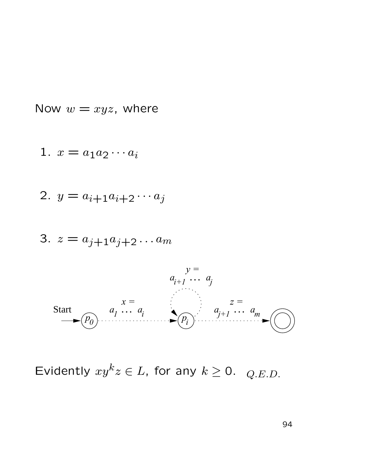Now  $w = xyz$ , where

$$
1. \, x = a_1 a_2 \cdots a_i
$$

$$
2. \ y = a_{i+1}a_{i+2}\cdots a_j
$$

$$
3. \, z = a_{j+1}a_{j+2}\ldots a_m
$$



Evidently  $xy^kz \in L$ , for any  $k \ge 0$ .  $_{Q.E.D.}$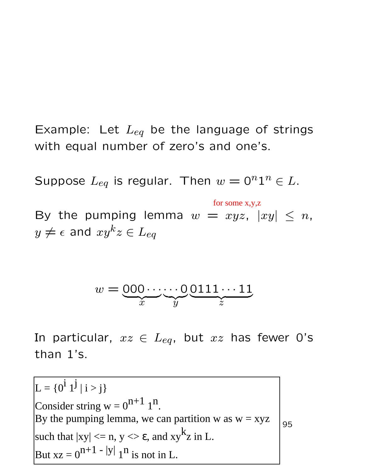Example: Let  $L_{eq}$  be the language of strings with equal number of zero's and one's.

Suppose  $L_{eq}$  is regular. Then  $w = 0^n 1^n \in L$ .

By the pumping lemma  $w = xyz$ ,  $|xy| \le n$ ,  $y \neq \epsilon$  and  $xy^kz \in L_{eq}$ 

$$
w = \underbrace{000\cdots\cdots0}_{x}\underbrace{0111\cdots11}_{z}
$$

In particular,  $xz \in L_{eq}$ , but  $xz$  has fewer O's than 1's.

By the pumping lemma 
$$
w = xyz
$$
,  $|xy| \le y \ne \epsilon$  and  $xy^kz \in L_{eq}$   
\n $w = \underbrace{000 \cdots 0}_{x} \underbrace{0111 \cdots 11}_{y} \underbrace{0111 \cdots 11}_{z}$   
\nIn particular,  $xz \in L_{eq}$ , but  $xz$  has fewer  
\nthan 1's.  
\n $L = \{0^{\mathbf{i} \mathbf{1} \mathbf{j} \mathbf{|} \mathbf{i} > \mathbf{j} \}}$   
\nConsider string  $w = 0^{n+1} 1^n$ .  
\nBy the pumping lemma, we can partition w as  $w = xyz$   
\nsuch that  $|xy| \le n$ ,  $y \le \epsilon$ , and  $xy^kz$  in L.  
\nBut  $xz = 0^{n+1 - |y|} 1^n$  is not in L.